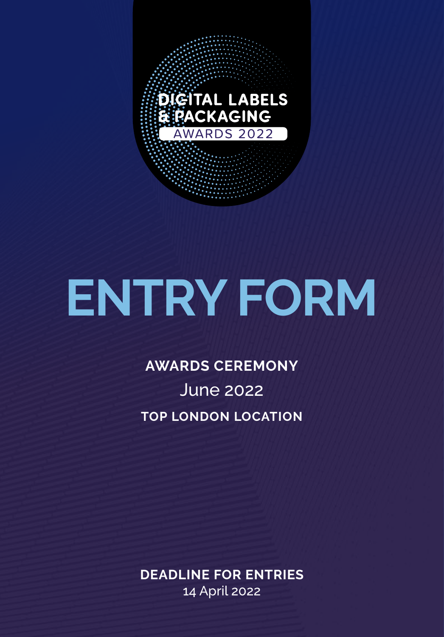

# **ENTRY FORM**

### **AWARDS CEREMONY** June 2022 **TOP LONDON LOCATION**

**DEADLINE FOR ENTRIES**  14 April 2022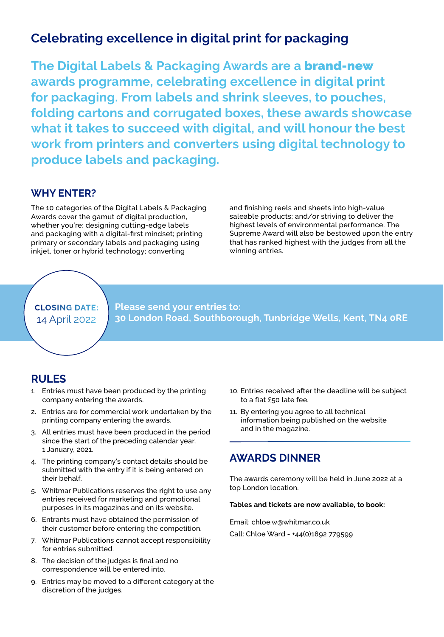#### **Celebrating excellence in digital print for packaging**

**The Digital Labels & Packaging Awards are a** brand-new **awards programme, celebrating excellence in digital print for packaging. From labels and shrink sleeves, to pouches, folding cartons and corrugated boxes, these awards showcase what it takes to succeed with digital, and will honour the best work from printers and converters using digital technology to produce labels and packaging.**

#### **WHY ENTER?**

The 10 categories of the Digital Labels & Packaging Awards cover the gamut of digital production, whether you're: designing cutting-edge labels and packaging with a digital-first mindset; printing primary or secondary labels and packaging using inkjet, toner or hybrid technology; converting

and finishing reels and sheets into high-value saleable products; and/or striving to deliver the highest levels of environmental performance. The Supreme Award will also be bestowed upon the entry that has ranked highest with the judges from all the winning entries.

#### **CLOSING DATE:** 14 April 2022

**Please send your entries to: 30 London Road, Southborough, Tunbridge Wells, Kent, TN4 0RE**

#### **RULES**

- 1. Entries must have been produced by the printing company entering the awards.
- 2. Entries are for commercial work undertaken by the printing company entering the awards.
- 3. All entries must have been produced in the period since the start of the preceding calendar year, 1 January, 2021.
- 4. The printing company's contact details should be submitted with the entry if it is being entered on their behalf.
- 5. Whitmar Publications reserves the right to use any entries received for marketing and promotional purposes in its magazines and on its website.
- 6. Entrants must have obtained the permission of their customer before entering the competition.
- 7. Whitmar Publications cannot accept responsibility for entries submitted.
- 8. The decision of the judges is final and no correspondence will be entered into.
- 9. Entries may be moved to a different category at the discretion of the judges.
- 10. Entries received after the deadline will be subject to a flat £50 late fee.
- 11. By entering you agree to all technical information being published on the website and in the magazine.

#### **AWARDS DINNER**

The awards ceremony will be held in June 2022 at a top London location.

#### **Tables and tickets are now available, to book:**

Email: chloe.w@whitmar.co.uk

Call: Chloe Ward - +44(0)1892 779599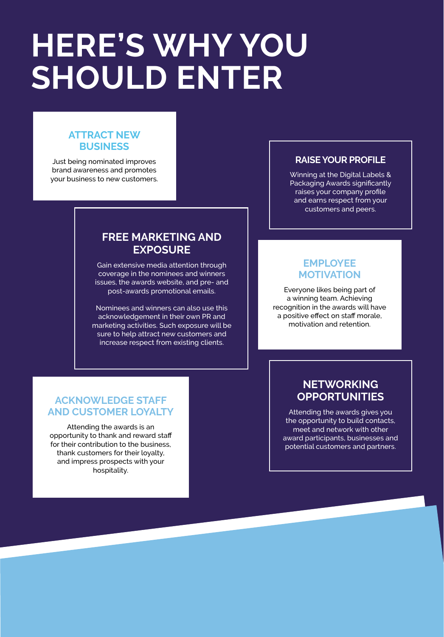## **HERE'S WHY YOU SHOULD ENTER**

#### **ATTRACT NEW BUSINESS**

Just being nominated improves brand awareness and promotes your business to new customers.

#### **FREE MARKETING AND EXPOSURE**

Gain extensive media attention through coverage in the nominees and winners issues, the awards website, and pre- and post-awards promotional emails.

Nominees and winners can also use this acknowledgement in their own PR and marketing activities. Such exposure will be sure to help attract new customers and increase respect from existing clients.

#### **RAISE YOUR PROFILE**

Winning at the Digital Labels & Packaging Awards significantly raises your company profile and earns respect from your customers and peers.

#### **EMPLOYEE MOTIVATION**

Everyone likes being part of a winning team. Achieving recognition in the awards will have a positive effect on staff morale, motivation and retention.

#### **ACKNOWLEDGE STAFF AND CUSTOMER LOYALTY**

Attending the awards is an opportunity to thank and reward staff for their contribution to the business. thank customers for their loyalty, and impress prospects with your hospitality.

#### **NETWORKING OPPORTUNITIES**

Attending the awards gives you the opportunity to build contacts, meet and network with other award participants, businesses and potential customers and partners.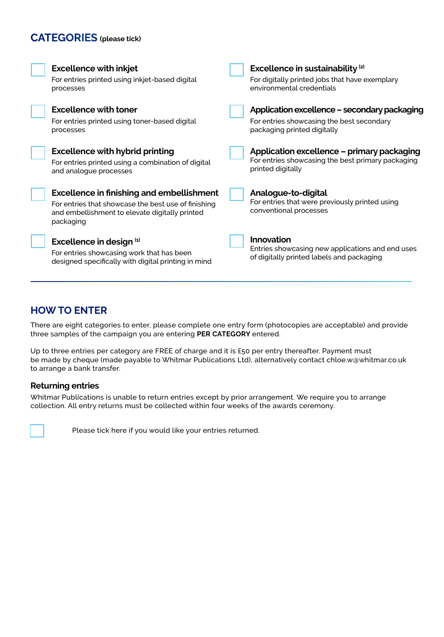#### **CATEGORIES (please tick)**

| <b>Excellence with inkjet</b><br>For entries printed using inkjet-based digital<br>processes                       | Excellence in sustainability <sup>[2]</sup><br>For digitally printed jobs that have exemplary<br>environmental credentials |
|--------------------------------------------------------------------------------------------------------------------|----------------------------------------------------------------------------------------------------------------------------|
| <b>Excellence with toner</b>                                                                                       | Application excellence - secondary packaging                                                                               |
| For entries printed using toner-based digital<br>processes                                                         | For entries showcasing the best secondary<br>packaging printed digitally                                                   |
| <b>Excellence with hybrid printing</b>                                                                             | Application excellence – primary packaging                                                                                 |
| For entries printed using a combination of digital<br>and analogue processes                                       | For entries showcasing the best primary packaging<br>printed digitally                                                     |
| <b>Excellence in finishing and embellishment</b>                                                                   | Analogue-to-digital                                                                                                        |
| For entries that showcase the best use of finishing<br>and embellishment to elevate digitally printed<br>packaging | For entries that were previously printed using<br>conventional processes                                                   |
| Excellence in design [1]                                                                                           | <b>Innovation</b>                                                                                                          |
| For entries showcasing work that has been<br>designed specifically with digital printing in mind                   | Entries showcasing new applications and end uses<br>of digitally printed labels and packaging                              |

#### **HOW TO ENTER**

There are eight categories to enter, please complete one entry form (photocopies are acceptable) and provide three samples of the campaign you are entering **PER CATEGORY** entered.

Up to three entries per category are FREE of charge and it is £50 per entry thereafter. Payment must be made by cheque (made payable to Whitmar Publications Ltd), alternatively contact chloe.w@whitmar.co.uk to arrange a bank transfer.

#### **Returning entries**

Whitmar Publications is unable to return entries except by prior arrangement. We require you to arrange collection. All entry returns must be collected within four weeks of the awards ceremony.



Please tick here if you would like your entries returned.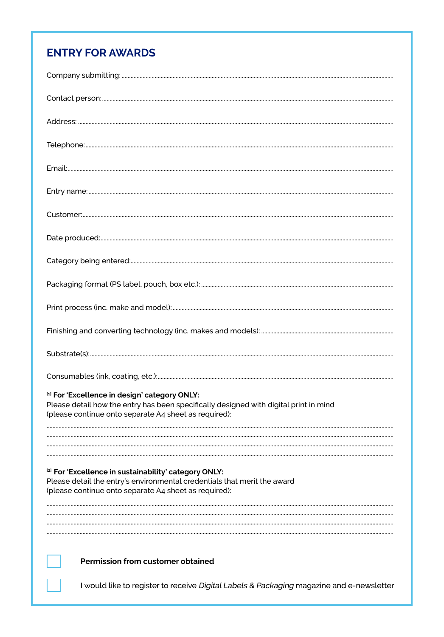#### **ENTRY FOR AWARDS**

| Customer:                                                                                                                                                                                       |
|-------------------------------------------------------------------------------------------------------------------------------------------------------------------------------------------------|
|                                                                                                                                                                                                 |
|                                                                                                                                                                                                 |
|                                                                                                                                                                                                 |
|                                                                                                                                                                                                 |
|                                                                                                                                                                                                 |
|                                                                                                                                                                                                 |
|                                                                                                                                                                                                 |
| [1] For 'Excellence in design' category ONLY:<br>Please detail how the entry has been specifically designed with digital print in mind<br>(please continue onto separate A4 sheet as required): |
|                                                                                                                                                                                                 |
| [2] For 'Excellence in sustainability' category ONLY:<br>Please detail the entry's environmental credentials that merit the award<br>(please continue onto separate A4 sheet as required):      |
| Permission from customer obtained                                                                                                                                                               |
| I would like to register to receive Digital Labels & Packaging magazine and e-newsletter                                                                                                        |